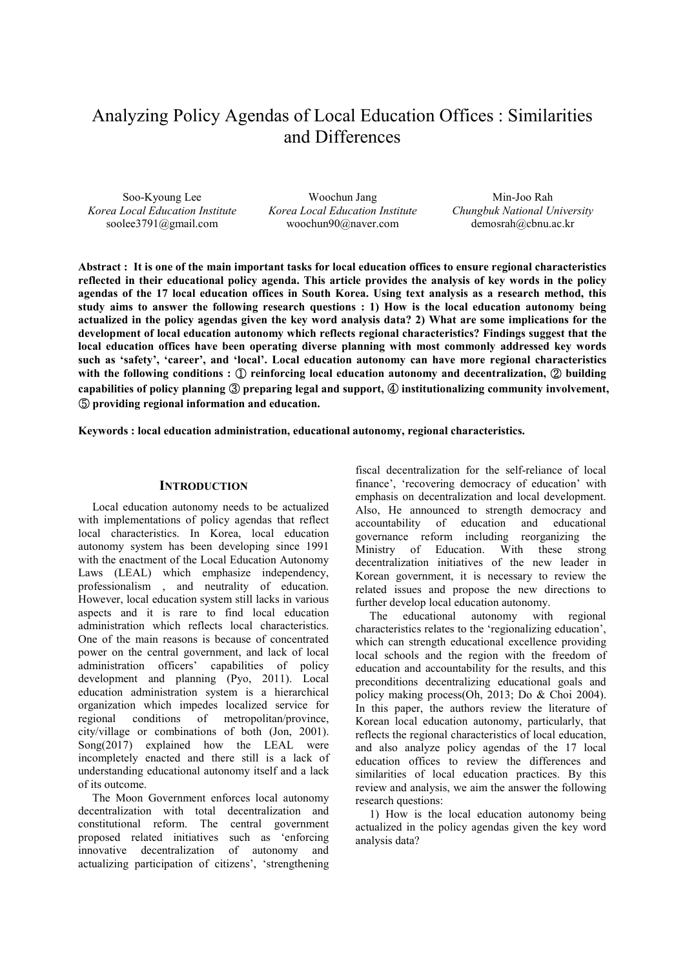# Analyzing Policy Agendas of Local Education Offices : Similarities and Differences

Soo-Kyoung Lee *Korea Local Education Institute* soolee3791@gmail.com

Woochun Jang *Korea Local Education Institute* woochun90@naver.com

Min-Joo Rah *Chungbuk National University* demosrah@cbnu.ac.kr

**Abstract : It is one of the main important tasks for local education offices to ensure regional characteristics reflected in their educational policy agenda. This article provides the analysis of key words in the policy agendas of the 17 local education offices in South Korea. Using text analysis as a research method, this study aims to answer the following research questions : 1) How is the local education autonomy being actualized in the policy agendas given the key word analysis data? 2) What are some implications for the development of local education autonomy which reflects regional characteristics? Findings suggest that the local education offices have been operating diverse planning with most commonly addressed key words such as 'safety', 'career', and 'local'. Local education autonomy can have more regional characteristics with the following conditions :** ① **reinforcing local education autonomy and decentralization,** ② **building capabilities of policy planning** ③ **preparing legal and support,** ④ **institutionalizing community involvement,**  ⑤ **providing regional information and education.** 

**Keywords : local education administration, educational autonomy, regional characteristics.** 

#### **INTRODUCTION**

Local education autonomy needs to be actualized with implementations of policy agendas that reflect local characteristics. In Korea, local education autonomy system has been developing since 1991 with the enactment of the Local Education Autonomy Laws (LEAL) which emphasize independency, professionalism , and neutrality of education. However, local education system still lacks in various aspects and it is rare to find local education administration which reflects local characteristics. One of the main reasons is because of concentrated power on the central government, and lack of local administration officers' capabilities of policy development and planning (Pyo, 2011). Local education administration system is a hierarchical organization which impedes localized service for regional conditions of metropolitan/province, city/village or combinations of both (Jon, 2001). Song(2017) explained how the LEAL were incompletely enacted and there still is a lack of understanding educational autonomy itself and a lack of its outcome.

The Moon Government enforces local autonomy decentralization with total decentralization and constitutional reform. The central government proposed related initiatives such as 'enforcing innovative decentralization of autonomy and actualizing participation of citizens', 'strengthening

fiscal decentralization for the self-reliance of local finance', 'recovering democracy of education' with emphasis on decentralization and local development. Also, He announced to strength democracy and<br>accountability of education and educational of education and governance reform including reorganizing the Ministry of Education. With these strong decentralization initiatives of the new leader in Korean government, it is necessary to review the related issues and propose the new directions to further develop local education autonomy.

The educational autonomy with regional characteristics relates to the 'regionalizing education', which can strength educational excellence providing local schools and the region with the freedom of education and accountability for the results, and this preconditions decentralizing educational goals and policy making process(Oh, 2013; Do & Choi 2004). In this paper, the authors review the literature of Korean local education autonomy, particularly, that reflects the regional characteristics of local education, and also analyze policy agendas of the 17 local education offices to review the differences and similarities of local education practices. By this review and analysis, we aim the answer the following research questions:

1) How is the local education autonomy being actualized in the policy agendas given the key word analysis data?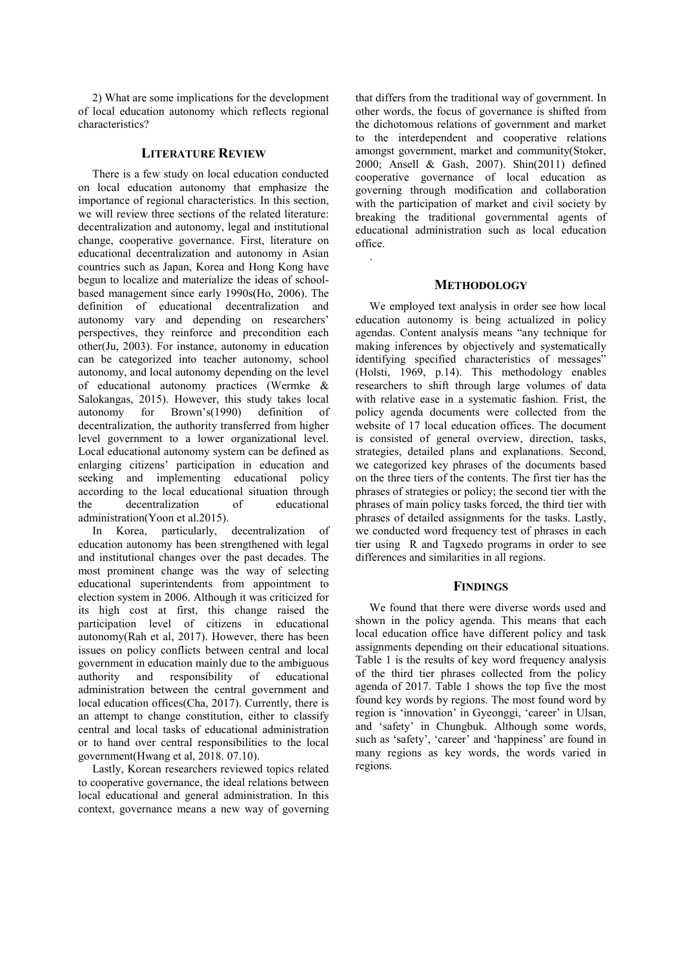2) What are some implications for the development of local education autonomy which reflects regional characteristics?

## **LITERATURE REVIEW**

There is a few study on local education conducted on local education autonomy that emphasize the importance of regional characteristics. In this section, we will review three sections of the related literature: decentralization and autonomy, legal and institutional change, cooperative governance. First, literature on educational decentralization and autonomy in Asian countries such as Japan, Korea and Hong Kong have begun to localize and materialize the ideas of schoolbased management since early 1990s(Ho, 2006). The definition of educational decentralization and autonomy vary and depending on researchers' perspectives, they reinforce and precondition each other(Ju, 2003). For instance, autonomy in education can be categorized into teacher autonomy, school autonomy, and local autonomy depending on the level of educational autonomy practices (Wermke & Salokangas, 2015). However, this study takes local autonomy for Brown's(1990) definition of decentralization, the authority transferred from higher level government to a lower organizational level. Local educational autonomy system can be defined as enlarging citizens' participation in education and seeking and implementing educational policy according to the local educational situation through the decentralization of educational administration(Yoon et al.2015).

In Korea, particularly, decentralization of education autonomy has been strengthened with legal and institutional changes over the past decades. The most prominent change was the way of selecting educational superintendents from appointment to election system in 2006. Although it was criticized for its high cost at first, this change raised the participation level of citizens in educational autonomy(Rah et al, 2017). However, there has been issues on policy conflicts between central and local government in education mainly due to the ambiguous authority and responsibility of educational administration between the central government and local education offices(Cha, 2017). Currently, there is an attempt to change constitution, either to classify central and local tasks of educational administration or to hand over central responsibilities to the local government(Hwang et al, 2018. 07.10).

Lastly, Korean researchers reviewed topics related to cooperative governance, the ideal relations between local educational and general administration. In this context, governance means a new way of governing

that differs from the traditional way of government. In other words, the focus of governance is shifted from the dichotomous relations of government and market to the interdependent and cooperative relations amongst government, market and community(Stoker, 2000; Ansell & Gash, 2007). Shin(2011) defined cooperative governance of local education as governing through modification and collaboration with the participation of market and civil society by breaking the traditional governmental agents of educational administration such as local education office.

## **METHODOLOGY**

.

We employed text analysis in order see how local education autonomy is being actualized in policy agendas. Content analysis means "any technique for making inferences by objectively and systematically identifying specified characteristics of messages" (Holsti, 1969, p.14). This methodology enables researchers to shift through large volumes of data with relative ease in a systematic fashion. Frist, the policy agenda documents were collected from the website of 17 local education offices. The document is consisted of general overview, direction, tasks, strategies, detailed plans and explanations. Second, we categorized key phrases of the documents based on the three tiers of the contents. The first tier has the phrases of strategies or policy; the second tier with the phrases of main policy tasks forced, the third tier with phrases of detailed assignments for the tasks. Lastly, we conducted word frequency test of phrases in each tier using R and Tagxedo programs in order to see differences and similarities in all regions.

### **FINDINGS**

We found that there were diverse words used and shown in the policy agenda. This means that each local education office have different policy and task assignments depending on their educational situations. Table 1 is the results of key word frequency analysis of the third tier phrases collected from the policy agenda of 2017. Table 1 shows the top five the most found key words by regions. The most found word by region is 'innovation' in Gyeonggi, 'career' in Ulsan, and 'safety' in Chungbuk. Although some words, such as 'safety', 'career' and 'happiness' are found in many regions as key words, the words varied in regions.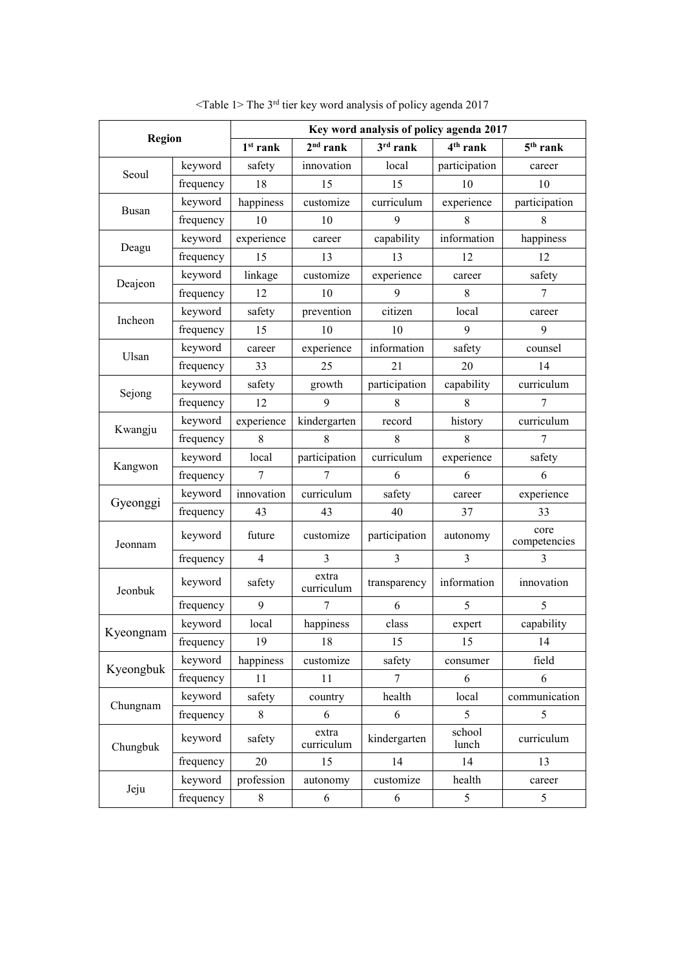| <b>Region</b> |           | Key word analysis of policy agenda 2017 |                     |               |                      |                      |  |  |
|---------------|-----------|-----------------------------------------|---------------------|---------------|----------------------|----------------------|--|--|
|               |           | $1st$ rank                              | $2nd$ rank          | $3rd$ rank    | 4 <sup>th</sup> rank | $5th$ rank           |  |  |
| Seoul         | keyword   | safety                                  | innovation          | local         | participation        | career               |  |  |
|               | frequency | 18                                      | 15                  | 15            | 10                   | 10                   |  |  |
| Busan         | keyword   | happiness                               | customize           | curriculum    | experience           | participation        |  |  |
|               | frequency | 10                                      | 10                  | 9             | 8                    | 8                    |  |  |
| Deagu         | keyword   | experience                              | career              | capability    | information          | happiness            |  |  |
|               | frequency | 15                                      | 13                  | 13            | 12                   | 12                   |  |  |
|               | keyword   | linkage                                 | customize           | experience    | career               | safety               |  |  |
| Deajeon       | frequency | 12                                      | 10                  | 9             | 8                    | 7                    |  |  |
| Incheon       | keyword   | safety                                  | prevention          | citizen       | local                | career               |  |  |
|               | frequency | 15                                      | 10                  | 10            | 9                    | 9                    |  |  |
|               | keyword   | career                                  | experience          | information   | safety               | counsel              |  |  |
| Ulsan         | frequency | 33                                      | 25                  | 21            | 20                   | 14                   |  |  |
|               | keyword   | safety                                  | growth              | participation | capability           | curriculum           |  |  |
| Sejong        | frequency | 12                                      | 9                   | 8             | 8                    | 7                    |  |  |
|               | keyword   | experience                              | kindergarten        | record        | history              | curriculum           |  |  |
| Kwangju       | frequency | 8                                       | 8                   | 8             | 8                    |                      |  |  |
| Kangwon       | keyword   | local                                   | participation       | curriculum    | experience           | safety               |  |  |
|               | frequency | 7                                       | 7                   | 6             | 6                    | 6                    |  |  |
| Gyeonggi      | keyword   | innovation                              | curriculum          | safety        | career               | experience           |  |  |
|               | frequency | 43                                      | 43                  | 40            | 37                   | 33                   |  |  |
| Jeonnam       | keyword   | future                                  | customize           | participation | autonomy             | core<br>competencies |  |  |
|               | frequency | $\overline{4}$                          | 3                   | 3             | 3                    | 3                    |  |  |
| Jeonbuk       | keyword   | safety                                  | extra<br>curriculum | transparency  | information          | innovation           |  |  |
|               | frequency | 9                                       | 7                   | 6             | 5                    | 5                    |  |  |
| Kyeongnam     | keyword   | local                                   | happiness           | class         | expert               | capability           |  |  |
|               | frequency | 19                                      | 18                  | 15            | 15                   | 14                   |  |  |
| Kyeongbuk     | keyword   | happiness                               | customize           | safety        | consumer             | field                |  |  |
|               | frequency | 11                                      | 11                  | $\tau$        | 6                    | 6                    |  |  |
| Chungnam      | keyword   | safety                                  | country             | health        | local                | communication        |  |  |
|               | frequency | $8\,$                                   | 6                   | 6             | 5                    | 5                    |  |  |
| Chungbuk      | keyword   | safety                                  | extra<br>curriculum | kindergarten  | school<br>lunch      | curriculum           |  |  |
|               | frequency | 20                                      | 15                  | 14            | 14                   | 13                   |  |  |
| Jeju          | keyword   | profession                              | autonomy            | customize     | health               | career               |  |  |
|               | frequency | 8                                       | 6                   | 6             | 5                    | $\mathfrak s$        |  |  |

 $\le$ Table 1> The 3<sup>rd</sup> tier key word analysis of policy agenda 2017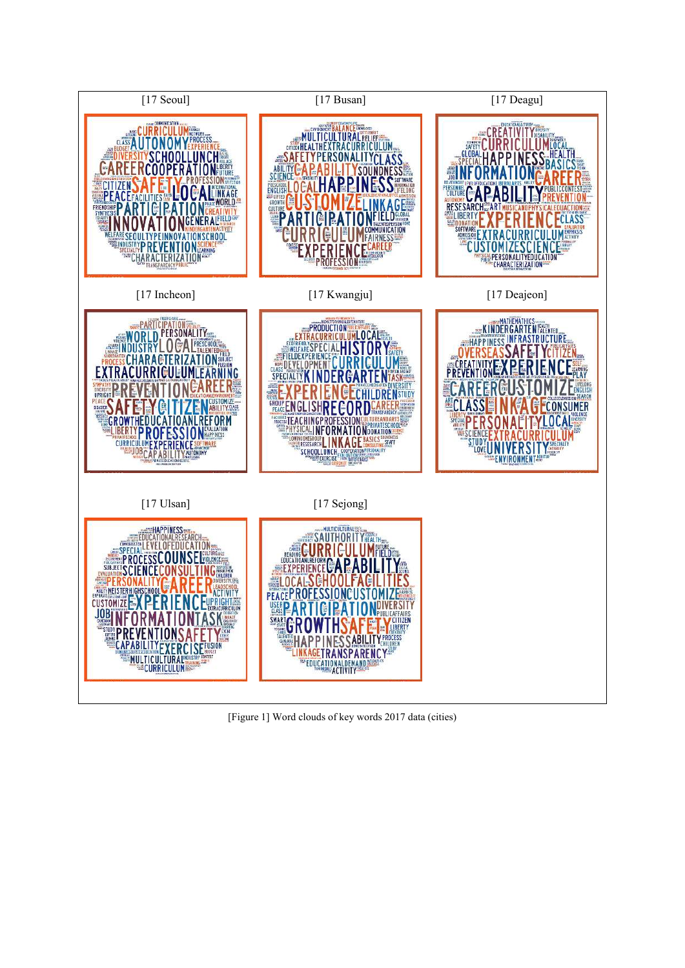

[Figure 1] Word clouds of key words 2017 data (cities)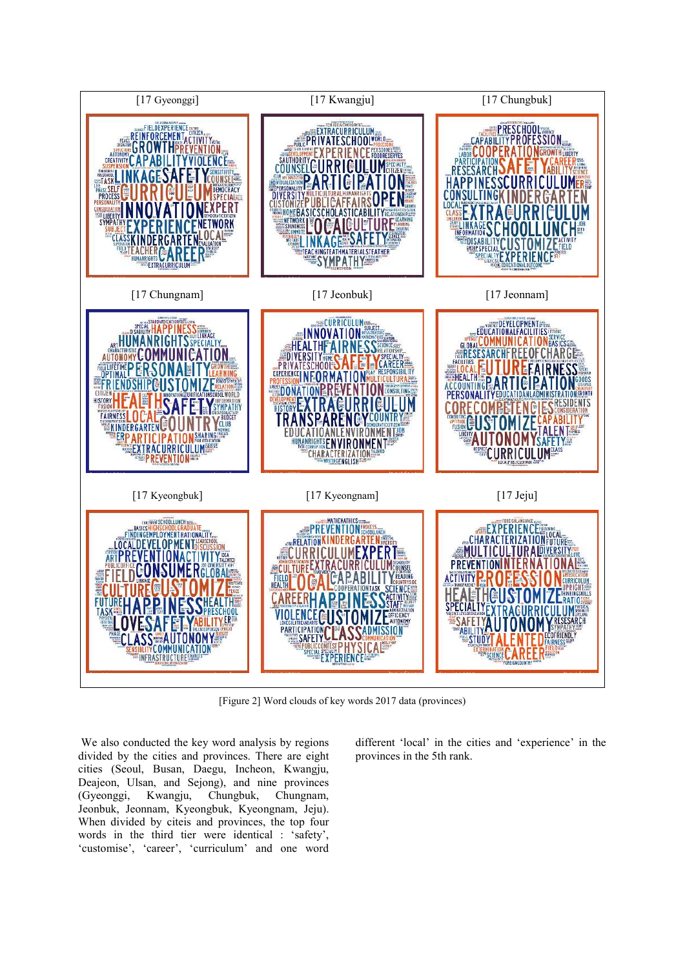

[Figure 2] Word clouds of key words 2017 data (provinces)

 We also conducted the key word analysis by regions divided by the cities and provinces. There are eight cities (Seoul, Busan, Daegu, Incheon, Kwangju, Deajeon, Ulsan, and Sejong), and nine provinces (Gyeonggi, Kwangju, Chungbuk, Chungnam, Jeonbuk, Jeonnam, Kyeongbuk, Kyeongnam, Jeju). When divided by citeis and provinces, the top four words in the third tier were identical : 'safety', 'customise', 'career', 'curriculum' and one word

different 'local' in the cities and 'experience' in the provinces in the 5th rank.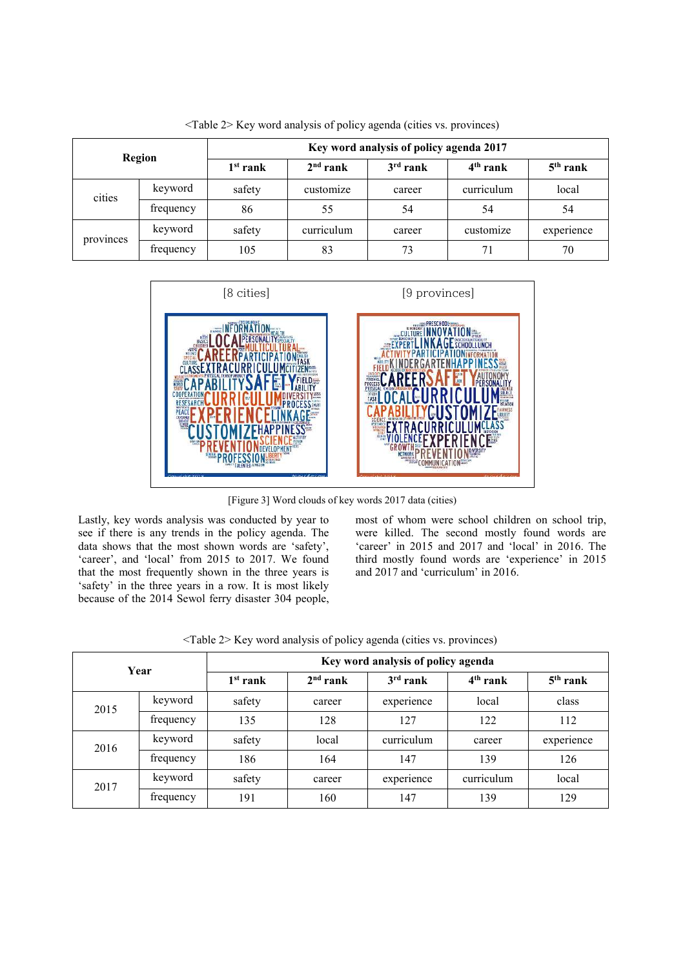| Region    |           | Key word analysis of policy agenda 2017 |            |            |                      |            |  |  |
|-----------|-----------|-----------------------------------------|------------|------------|----------------------|------------|--|--|
|           |           | $1st$ rank                              | $2nd$ rank | $3rd$ rank | 4 <sup>th</sup> rank | $5th$ rank |  |  |
| cities    | keyword   | safety                                  | customize  | career     | curriculum           | local      |  |  |
|           | frequency | 86                                      | 55         | 54         | 54                   | 54         |  |  |
| provinces | keyword   | safety                                  | curriculum | career     | customize            | experience |  |  |
|           | frequency | 105                                     | 83         | 73         | 71                   | 70         |  |  |

<Table 2> Key word analysis of policy agenda (cities vs. provinces)



[Figure 3] Word clouds of key words 2017 data (cities)

Lastly, key words analysis was conducted by year to see if there is any trends in the policy agenda. The data shows that the most shown words are 'safety', 'career', and 'local' from 2015 to 2017. We found that the most frequently shown in the three years is 'safety' in the three years in a row. It is most likely because of the 2014 Sewol ferry disaster 304 people, most of whom were school children on school trip, were killed. The second mostly found words are 'career' in 2015 and 2017 and 'local' in 2016. The third mostly found words are 'experience' in 2015 and 2017 and 'curriculum' in 2016.

| Year |           | Key word analysis of policy agenda |            |            |            |            |  |
|------|-----------|------------------------------------|------------|------------|------------|------------|--|
|      |           | $1st$ rank                         | $2nd$ rank | $3rd$ rank | $4th$ rank | $5th$ rank |  |
| 2015 | keyword   | safety                             | career     | experience | local      | class      |  |
|      | frequency | 135                                | 128        | 127        | 122        | 112        |  |
| 2016 | keyword   | safety                             | local      | curriculum | career     | experience |  |
|      | frequency | 186                                | 164        | 147        | 139        | 126        |  |
| 2017 | keyword   | safety                             | career     | experience | curriculum | local      |  |
|      | trequency | 191                                | 160        | 147        | 139        | 129        |  |

<Table 2> Key word analysis of policy agenda (cities vs. provinces)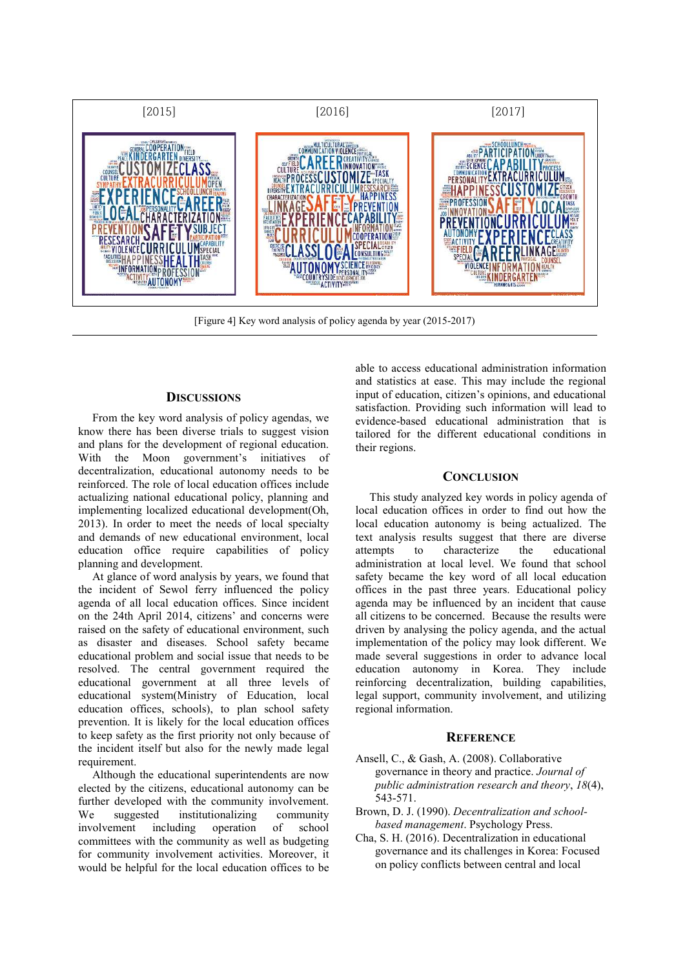

[Figure 4] Key word analysis of policy agenda by year (2015-2017)

# **DISCUSSIONS**

From the key word analysis of policy agendas, we know there has been diverse trials to suggest vision and plans for the development of regional education. With the Moon government's initiatives of decentralization, educational autonomy needs to be reinforced. The role of local education offices include actualizing national educational policy, planning and implementing localized educational development(Oh, 2013). In order to meet the needs of local specialty and demands of new educational environment, local education office require capabilities of policy planning and development.

At glance of word analysis by years, we found that the incident of Sewol ferry influenced the policy agenda of all local education offices. Since incident on the 24th April 2014, citizens' and concerns were raised on the safety of educational environment, such as disaster and diseases. School safety became educational problem and social issue that needs to be resolved. The central government required the educational government at all three levels of educational system(Ministry of Education, local education offices, schools), to plan school safety prevention. It is likely for the local education offices to keep safety as the first priority not only because of the incident itself but also for the newly made legal requirement.

Although the educational superintendents are now elected by the citizens, educational autonomy can be further developed with the community involvement.<br>We suggested institutionalizing community institutionalizing community involvement including operation of school committees with the community as well as budgeting for community involvement activities. Moreover, it would be helpful for the local education offices to be

able to access educational administration information and statistics at ease. This may include the regional input of education, citizen's opinions, and educational satisfaction. Providing such information will lead to evidence-based educational administration that is tailored for the different educational conditions in their regions.

### **CONCLUSION**

This study analyzed key words in policy agenda of local education offices in order to find out how the local education autonomy is being actualized. The text analysis results suggest that there are diverse attempts to characterize the educational administration at local level. We found that school safety became the key word of all local education offices in the past three years. Educational policy agenda may be influenced by an incident that cause all citizens to be concerned. Because the results were driven by analysing the policy agenda, and the actual implementation of the policy may look different. We made several suggestions in order to advance local education autonomy in Korea. They include reinforcing decentralization, building capabilities, legal support, community involvement, and utilizing regional information.

#### **REFERENCE**

- Ansell, C., & Gash, A. (2008). Collaborative governance in theory and practice. *Journal of public administration research and theory*, *18*(4), 543-571.
- Brown, D. J. (1990). *Decentralization and schoolbased management*. Psychology Press.
- Cha, S. H. (2016). Decentralization in educational governance and its challenges in Korea: Focused on policy conflicts between central and local